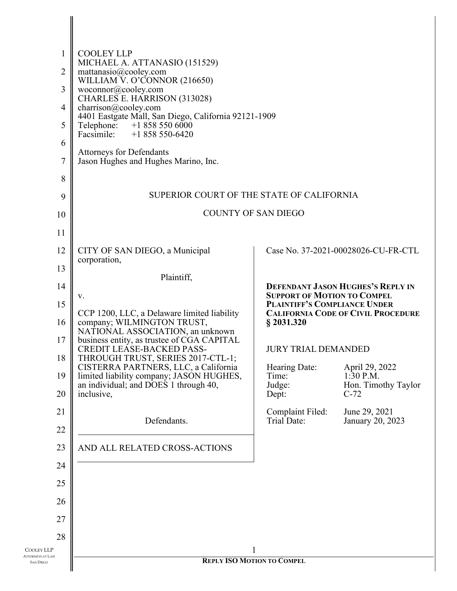| $\mathbf{1}$<br>$\overline{2}$<br>3<br>4<br>5<br>6<br>7<br>8<br>9<br>10 | <b>COOLEY LLP</b><br>MICHAEL A. ATTANASIO (151529)<br>mattanasio@cooley.com<br>WILLIAM V. O'CONNOR (216650)<br>woconnor@cooley.com<br>CHARLES E. HARRISON (313028)<br>charrison@cooley.com<br>4401 Eastgate Mall, San Diego, California 92121-1909<br>$+18585506000$<br>Telephone:<br>Facsimile:<br>$+1858550-6420$<br><b>Attorneys for Defendants</b><br>Jason Hughes and Hughes Marino, Inc.<br>SUPERIOR COURT OF THE STATE OF CALIFORNIA  | <b>COUNTY OF SAN DIEGO</b>                                                                                                                                                                       |                                                                                                                                                                                              |
|-------------------------------------------------------------------------|----------------------------------------------------------------------------------------------------------------------------------------------------------------------------------------------------------------------------------------------------------------------------------------------------------------------------------------------------------------------------------------------------------------------------------------------|--------------------------------------------------------------------------------------------------------------------------------------------------------------------------------------------------|----------------------------------------------------------------------------------------------------------------------------------------------------------------------------------------------|
| 11                                                                      |                                                                                                                                                                                                                                                                                                                                                                                                                                              |                                                                                                                                                                                                  |                                                                                                                                                                                              |
| 12                                                                      | CITY OF SAN DIEGO, a Municipal<br>corporation,                                                                                                                                                                                                                                                                                                                                                                                               |                                                                                                                                                                                                  | Case No. 37-2021-00028026-CU-FR-CTL                                                                                                                                                          |
| 13<br>14<br>15<br>16<br>17<br>18<br>19<br>20<br>21<br>22<br>23<br>24    | Plaintiff,<br>V.<br>CCP 1200, LLC, a Delaware limited liability<br>company; WILMINGTON TRUST,<br>NATIONAL ASSOCIATION, an unknown<br>business entity, as trustee of CGA CAPITAL<br>CREDIT LEASE-BACKED PASS-<br>THROUGH TRUST, SERIES 2017-CTL-1;<br>CISTERRA PARTNERS, LLC, a California<br>limited liability company; JASON HUGHES,<br>an individual; and DOES 1 through 40,<br>inclusive,<br>Defendants.<br>AND ALL RELATED CROSS-ACTIONS | <b>SUPPORT OF MOTION TO COMPEL</b><br>PLAINTIFF'S COMPLIANCE UNDER<br>$§$ 2031.320<br><b>JURY TRIAL DEMANDED</b><br>Hearing Date:<br>Time:<br>Judge:<br>Dept:<br>Complaint Filed:<br>Trial Date: | <b>DEFENDANT JASON HUGHES'S REPLY IN</b><br><b>CALIFORNIA CODE OF CIVIL PROCEDURE</b><br>April 29, 2022<br>$1:30$ P.M.<br>Hon. Timothy Taylor<br>$C-72$<br>June 29, 2021<br>January 20, 2023 |
| 25<br>26<br>27<br>28<br>COOLEY LLP                                      |                                                                                                                                                                                                                                                                                                                                                                                                                                              | 1                                                                                                                                                                                                |                                                                                                                                                                                              |
| <b>ATTORNEYS AT LAW</b><br><b>SAN DIEGO</b>                             | <b>REPLY ISO MOTION TO COMPEL</b>                                                                                                                                                                                                                                                                                                                                                                                                            |                                                                                                                                                                                                  |                                                                                                                                                                                              |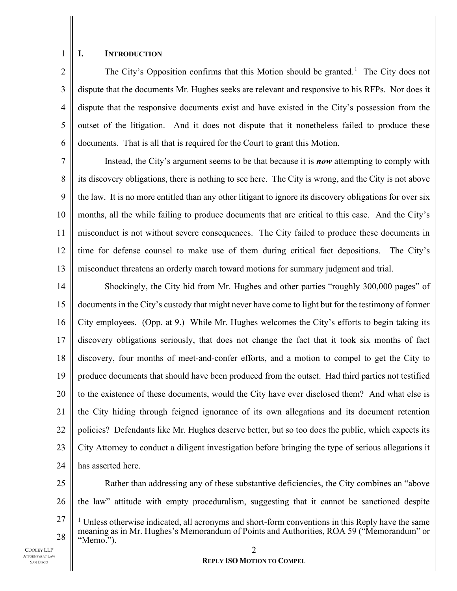# 1

#### **I. INTRODUCTION**

2 3 4 5 6 The City's Opposition confirms that this Motion should be granted.<sup>[1](#page-1-0)</sup> The City does not dispute that the documents Mr. Hughes seeks are relevant and responsive to his RFPs. Nor does it dispute that the responsive documents exist and have existed in the City's possession from the outset of the litigation. And it does not dispute that it nonetheless failed to produce these documents. That is all that is required for the Court to grant this Motion.

7 8 9 10 11 12 13 Instead, the City's argument seems to be that because it is *now* attempting to comply with its discovery obligations, there is nothing to see here. The City is wrong, and the City is not above the law. It is no more entitled than any other litigant to ignore its discovery obligations for over six months, all the while failing to produce documents that are critical to this case. And the City's misconduct is not without severe consequences. The City failed to produce these documents in time for defense counsel to make use of them during critical fact depositions. The City's misconduct threatens an orderly march toward motions for summary judgment and trial.

14 15 16 17 18 19 20 21 22 23 24 Shockingly, the City hid from Mr. Hughes and other parties "roughly 300,000 pages" of documents in the City's custody that might never have come to light but for the testimony of former City employees. (Opp. at 9.) While Mr. Hughes welcomes the City's efforts to begin taking its discovery obligations seriously, that does not change the fact that it took six months of fact discovery, four months of meet-and-confer efforts, and a motion to compel to get the City to produce documents that should have been produced from the outset. Had third parties not testified to the existence of these documents, would the City have ever disclosed them? And what else is the City hiding through feigned ignorance of its own allegations and its document retention policies? Defendants like Mr. Hughes deserve better, but so too does the public, which expects its City Attorney to conduct a diligent investigation before bringing the type of serious allegations it has asserted here.

- 25 26 27 Rather than addressing any of these substantive deficiencies, the City combines an "above the law" attitude with empty proceduralism, suggesting that it cannot be sanctioned despite  $<sup>1</sup>$  Unless otherwise indicated, all acronyms and short-form conventions in this Reply have the same</sup>
- 2 28 meaning as in Mr. Hughes's Memorandum of Points and Authorities, ROA 59 ("Memorandum" or "Memo.").
- <span id="page-1-0"></span>COOLEY LLP ATTORNEYS AT LAW SAN DIEGO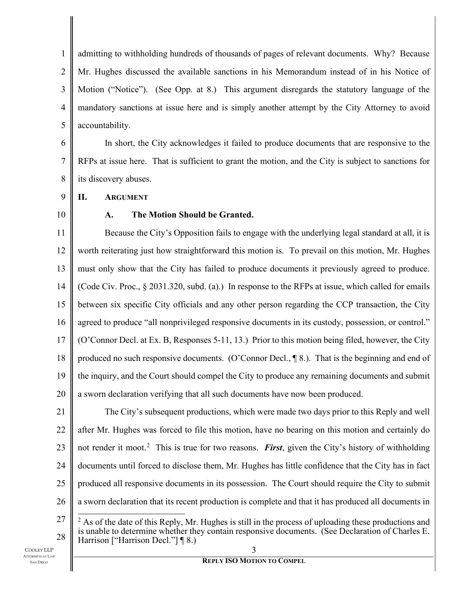1 2 3 4 5 admitting to withholding hundreds of thousands of pages of relevant documents. Why? Because Mr. Hughes discussed the available sanctions in his Memorandum instead of in his Notice of Motion ("Notice"). (See Opp. at 8.) This argument disregards the statutory language of the mandatory sanctions at issue here and is simply another attempt by the City Attorney to avoid accountability.

6 7 8 In short, the City acknowledges it failed to produce documents that are responsive to the RFPs at issue here. That is sufficient to grant the motion, and the City is subject to sanctions for its discovery abuses.

9 **II. ARGUMENT**

### 10

#### **A. The Motion Should be Granted.**

11 12 13 14 15 16 17 18 19 20 Because the City's Opposition fails to engage with the underlying legal standard at all, it is worth reiterating just how straightforward this motion is. To prevail on this motion, Mr. Hughes must only show that the City has failed to produce documents it previously agreed to produce. (Code Civ. Proc., § 2031.320, subd. (a).) In response to the RFPs at issue, which called for emails between six specific City officials and any other person regarding the CCP transaction, the City agreed to produce "all nonprivileged responsive documents in its custody, possession, or control." (O'Connor Decl. at Ex. B, Responses 5-11, 13.) Prior to this motion being filed, however, the City produced no such responsive documents. (O'Connor Decl., ¶ 8.). That is the beginning and end of the inquiry, and the Court should compel the City to produce any remaining documents and submit a sworn declaration verifying that all such documents have now been produced.

21 22 23 24 25 26 27 The City's subsequent productions, which were made two days prior to this Reply and well after Mr. Hughes was forced to file this motion, have no bearing on this motion and certainly do not render it moot. [2](#page-2-0) This is true for two reasons. *First*, given the City's history of withholding documents until forced to disclose them, Mr. Hughes has little confidence that the City has in fact produced all responsive documents in its possession. The Court should require the City to submit a sworn declaration that its recent production is complete and that it has produced all documents in

<span id="page-2-0"></span>28  $^{2}$  As of the date of this Reply, Mr. Hughes is still in the process of uploading these productions and is unable to determine whether they contain responsive documents. (See Declaration of Charles E. Harrison ["Harrison Decl."] ¶ 8.)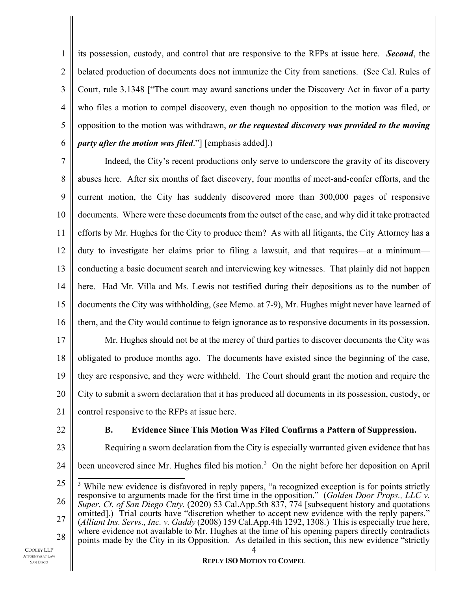1 2 3 4 5 6 its possession, custody, and control that are responsive to the RFPs at issue here. *Second*, the belated production of documents does not immunize the City from sanctions. (See Cal. Rules of Court, rule 3.1348 ["The court may award sanctions under the Discovery Act in favor of a party who files a motion to compel discovery, even though no opposition to the motion was filed, or opposition to the motion was withdrawn, *or the requested discovery was provided to the moving party after the motion was filed*."] [emphasis added].)

7 8 9 10 11 12 13 14 15 16 Indeed, the City's recent productions only serve to underscore the gravity of its discovery abuses here. After six months of fact discovery, four months of meet-and-confer efforts, and the current motion, the City has suddenly discovered more than 300,000 pages of responsive documents. Where were these documents from the outset of the case, and why did it take protracted efforts by Mr. Hughes for the City to produce them? As with all litigants, the City Attorney has a duty to investigate her claims prior to filing a lawsuit, and that requires—at a minimum conducting a basic document search and interviewing key witnesses. That plainly did not happen here. Had Mr. Villa and Ms. Lewis not testified during their depositions as to the number of documents the City was withholding, (see Memo. at 7-9), Mr. Hughes might never have learned of them, and the City would continue to feign ignorance as to responsive documents in its possession.

17 18 19 20 21 Mr. Hughes should not be at the mercy of third parties to discover documents the City was obligated to produce months ago. The documents have existed since the beginning of the case, they are responsive, and they were withheld. The Court should grant the motion and require the City to submit a sworn declaration that it has produced all documents in its possession, custody, or control responsive to the RFPs at issue here.

22

### **B. Evidence Since This Motion Was Filed Confirms a Pattern of Suppression.**

23

28

24 Requiring a sworn declaration from the City is especially warranted given evidence that has been uncovered since Mr. Hughes filed his motion.<sup>[3](#page-3-0)</sup> On the night before her deposition on April

<span id="page-3-0"></span>25 26 27 <sup>3</sup> While new evidence is disfavored in reply papers, "a recognized exception is for points strictly responsive to arguments made for the first time in the opposition." (*Golden Door Props., LLC v. Super. Ct. of San Diego Cnty.* (2020) 53 Cal.App.5th 837, 774 [subsequent history and quotations omitted].) Trial courts have "discretion whether to accept new evidence with the reply papers."<br>(*Alliant Ins. Servs., Inc. v. Gaddy* (2008) 159 Cal.App.4th 1292, 1308.) This is especially true here, where evidence not available to Mr. Hughes at the time of his opening papers directly contradicts

points made by the City in its Opposition. As detailed in this section, this new evidence "strictly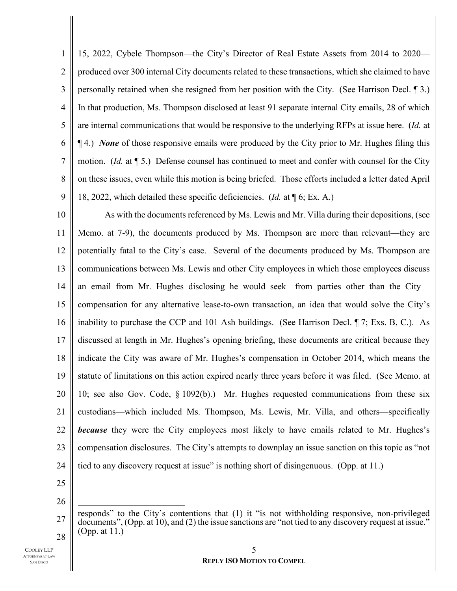1 2 3 4 5 6 7 8 9 15, 2022, Cybele Thompson—the City's Director of Real Estate Assets from 2014 to 2020 produced over 300 internal City documents related to these transactions, which she claimed to have personally retained when she resigned from her position with the City. (See Harrison Decl. ¶ 3.) In that production, Ms. Thompson disclosed at least 91 separate internal City emails, 28 of which are internal communications that would be responsive to the underlying RFPs at issue here. (*Id.* at ¶ 4.) *None* of those responsive emails were produced by the City prior to Mr. Hughes filing this motion. (*Id.* at ¶ 5.) Defense counsel has continued to meet and confer with counsel for the City on these issues, even while this motion is being briefed. Those efforts included a letter dated April 18, 2022, which detailed these specific deficiencies. (*Id.* at ¶ 6; Ex. A.)

10 11 12 13 14 15 16 17 18 19 20 21 22 23 24 As with the documents referenced by Ms. Lewis and Mr. Villa during their depositions, (see Memo. at 7-9), the documents produced by Ms. Thompson are more than relevant—they are potentially fatal to the City's case. Several of the documents produced by Ms. Thompson are communications between Ms. Lewis and other City employees in which those employees discuss an email from Mr. Hughes disclosing he would seek—from parties other than the City compensation for any alternative lease-to-own transaction, an idea that would solve the City's inability to purchase the CCP and 101 Ash buildings. (See Harrison Decl. ¶ 7; Exs. B, C.). As discussed at length in Mr. Hughes's opening briefing, these documents are critical because they indicate the City was aware of Mr. Hughes's compensation in October 2014, which means the statute of limitations on this action expired nearly three years before it was filed. (See Memo. at 10; see also Gov. Code, § 1092(b).) Mr. Hughes requested communications from these six custodians—which included Ms. Thompson, Ms. Lewis, Mr. Villa, and others—specifically *because* they were the City employees most likely to have emails related to Mr. Hughes's compensation disclosures. The City's attempts to downplay an issue sanction on this topic as "not tied to any discovery request at issue" is nothing short of disingenuous. (Opp. at 11.)

25 26

27 28 responds" to the City's contentions that (1) it "is not withholding responsive, non-privileged documents", (Opp. at 10), and (2) the issue sanctions are "not tied to any discovery request at issue." (Opp. at 11.)

COOLEY LLP ATTORNEYS AT LAW SAN DIEGO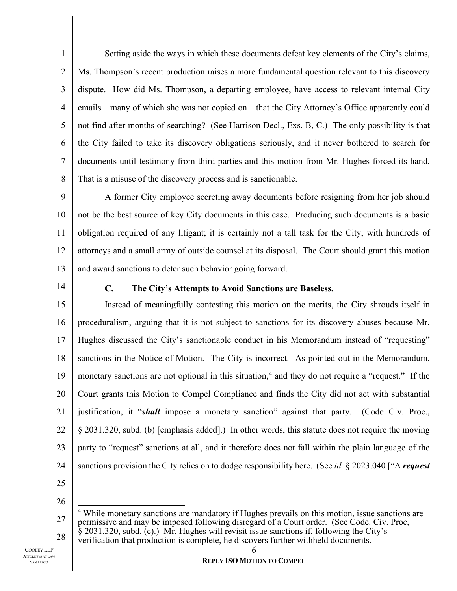1 2 3 4 5 6 7 8 Setting aside the ways in which these documents defeat key elements of the City's claims, Ms. Thompson's recent production raises a more fundamental question relevant to this discovery dispute. How did Ms. Thompson, a departing employee, have access to relevant internal City emails—many of which she was not copied on—that the City Attorney's Office apparently could not find after months of searching? (See Harrison Decl., Exs. B, C.) The only possibility is that the City failed to take its discovery obligations seriously, and it never bothered to search for documents until testimony from third parties and this motion from Mr. Hughes forced its hand. That is a misuse of the discovery process and is sanctionable.

9 10 11 12 13 A former City employee secreting away documents before resigning from her job should not be the best source of key City documents in this case. Producing such documents is a basic obligation required of any litigant; it is certainly not a tall task for the City, with hundreds of attorneys and a small army of outside counsel at its disposal. The Court should grant this motion and award sanctions to deter such behavior going forward.

14

### **C. The City's Attempts to Avoid Sanctions are Baseless.**

15 16 17 18 19 20 21 22 23 24 Instead of meaningfully contesting this motion on the merits, the City shrouds itself in proceduralism, arguing that it is not subject to sanctions for its discovery abuses because Mr. Hughes discussed the City's sanctionable conduct in his Memorandum instead of "requesting" sanctions in the Notice of Motion. The City is incorrect. As pointed out in the Memorandum, monetary sanctions are not optional in this situation,<sup>[4](#page-5-0)</sup> and they do not require a "request." If the Court grants this Motion to Compel Compliance and finds the City did not act with substantial justification, it "*shall* impose a monetary sanction" against that party. (Code Civ. Proc., § 2031.320, subd. (b) [emphasis added].) In other words, this statute does not require the moving party to "request" sanctions at all, and it therefore does not fall within the plain language of the sanctions provision the City relies on to dodge responsibility here. (See *id.* § 2023.040 ["A *request* 

- 25
- 26

<span id="page-5-0"></span>27

28

<sup>&</sup>lt;sup>4</sup> While monetary sanctions are mandatory if Hughes prevails on this motion, issue sanctions are permissive and may be imposed following disregard of a Court order. (See Code. Civ. Proc,  $\hat{\xi}$  2031.320, subd. (c).) Mr. Hughes will revisit issue sanctions if, following the City's verification that production is complete, he discovers further withheld documents.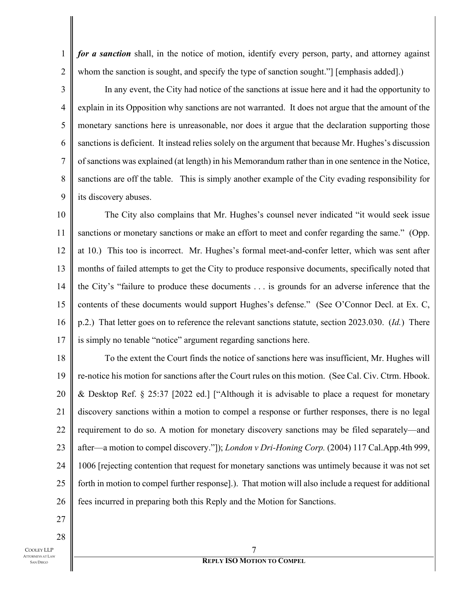*for a sanction* shall, in the notice of motion, identify every person, party, and attorney against whom the sanction is sought, and specify the type of sanction sought." [emphasis added].)

3 4 5 6 7 8 9 In any event, the City had notice of the sanctions at issue here and it had the opportunity to explain in its Opposition why sanctions are not warranted. It does not argue that the amount of the monetary sanctions here is unreasonable, nor does it argue that the declaration supporting those sanctions is deficient. It instead relies solely on the argument that because Mr. Hughes's discussion of sanctions was explained (at length) in his Memorandum rather than in one sentence in the Notice, sanctions are off the table. This is simply another example of the City evading responsibility for its discovery abuses.

10 11 12 13 14 15 16 17 The City also complains that Mr. Hughes's counsel never indicated "it would seek issue sanctions or monetary sanctions or make an effort to meet and confer regarding the same." (Opp. at 10.) This too is incorrect. Mr. Hughes's formal meet-and-confer letter, which was sent after months of failed attempts to get the City to produce responsive documents, specifically noted that the City's "failure to produce these documents . . . is grounds for an adverse inference that the contents of these documents would support Hughes's defense." (See O'Connor Decl. at Ex. C, p.2.) That letter goes on to reference the relevant sanctions statute, section 2023.030. (*Id.*) There is simply no tenable "notice" argument regarding sanctions here.

18 19 20 21 22 23 24 25 26 To the extent the Court finds the notice of sanctions here was insufficient, Mr. Hughes will re-notice his motion for sanctions after the Court rules on this motion. (See Cal. Civ. Ctrm. Hbook. & Desktop Ref. § 25:37 [2022 ed.] ["Although it is advisable to place a request for monetary discovery sanctions within a motion to compel a response or further responses, there is no legal requirement to do so. A motion for monetary discovery sanctions may be filed separately—and after—a motion to compel discovery."]); *London v Dri-Honing Corp.* (2004) 117 Cal.App.4th 999, 1006 [rejecting contention that request for monetary sanctions was untimely because it was not set forth in motion to compel further response].). That motion will also include a request for additional fees incurred in preparing both this Reply and the Motion for Sanctions.

27 28

1

2

COOLEY LLP ATTORNEYS AT LAW SAN DIEGO